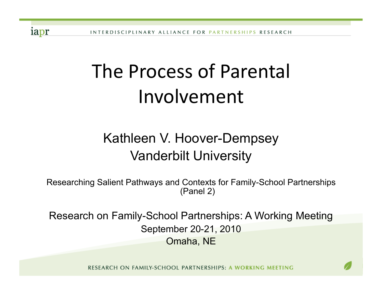iapr

# The Process of Parental Involvement\$

# Kathleen V. Hoover-Dempsey Vanderbilt University

Researching Salient Pathways and Contexts for Family-School Partnerships (Panel 2)

Research on Family-School Partnerships: A Working Meeting September 20-21, 2010 Omaha, NE

RESEARCH ON FAMILY-SCHOOL PARTNERSHIPS: A WORKING MEETING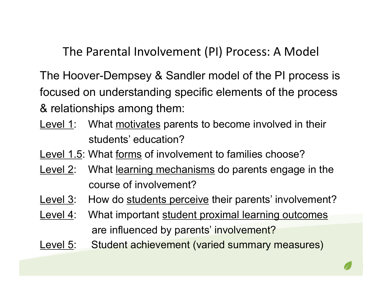The Parental Involvement (PI) Process: A Model

The Hoover-Dempsey & Sandler model of the PI process is focused on understanding specific elements of the process & relationships among them:

Level 1: What motivates parents to become involved in their students' education?

Level 1.5: What forms of involvement to families choose?

- Level 2: What learning mechanisms do parents engage in the course of involvement?
- Level 3: How do students perceive their parents' involvement?
- Level 4: What important student proximal learning outcomes are influenced by parents' involvement?
- Level 5: Student achievement (varied summary measures)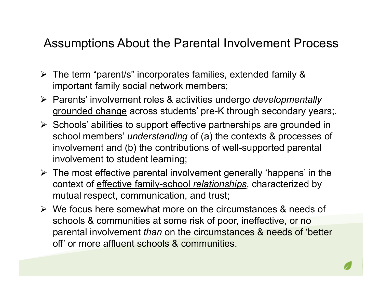# Assumptions About the Parental Involvement Process

- $\triangleright$  The term "parent/s" incorporates families, extended family & important family social network members;
- Parents' involvement roles & activities undergo *developmentally* grounded change across students' pre-K through secondary years;.
- $\triangleright$  Schools' abilities to support effective partnerships are grounded in school members' *understanding* of (a) the contexts & processes of involvement and (b) the contributions of well-supported parental involvement to student learning;
- $\triangleright$  The most effective parental involvement generally 'happens' in the context of effective family-school *relationships*, characterized by mutual respect, communication, and trust;
- We focus here somewhat more on the circumstances & needs of schools & communities at some risk of poor, ineffective, or no parental involvement *than* on the circumstances & needs of 'better off' or more affluent schools & communities.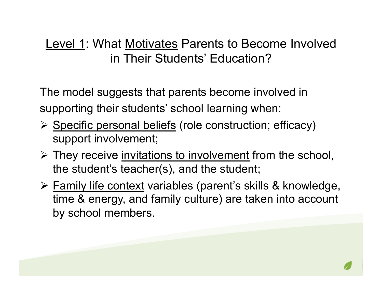The model suggests that parents become involved in supporting their students' school learning when:

- ▶ Specific personal beliefs (role construction; efficacy) support involvement;
- $\triangleright$  They receive invitations to involvement from the school, the student's teacher(s), and the student;
- Family life context variables (parent's skills & knowledge, time & energy, and family culture) are taken into account by school members.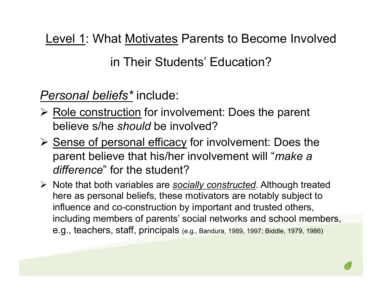*Personal beliefs\** include:

- $\triangleright$  Role construction for involvement: Does the parent believe s/he *should* be involved?
- $\triangleright$  Sense of personal efficacy for involvement: Does the parent believe that his/her involvement will "*make a difference*" for the student?
- Note that both variables are *socially constructed*. Although treated here as personal beliefs, these motivators are notably subject to influence and co-construction by important and trusted others, including members of parents' social networks and school members, e.g., teachers, staff, principals (e.g., Bandura, 1989, 1997; Biddle, 1979, 1986)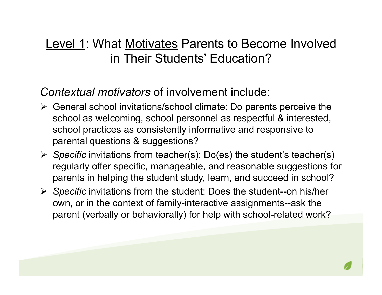#### *Contextual motivators* of involvement include:

- Seneral school invitations/school climate: Do parents perceive the school as welcoming, school personnel as respectful & interested, school practices as consistently informative and responsive to parental questions & suggestions?
- *Specific* invitations from teacher(s): Do(es) the student's teacher(s) regularly offer specific, manageable, and reasonable suggestions for parents in helping the student study, learn, and succeed in school?
- *Specific* invitations from the student: Does the student--on his/her own, or in the context of family-interactive assignments--ask the parent (verbally or behaviorally) for help with school-related work?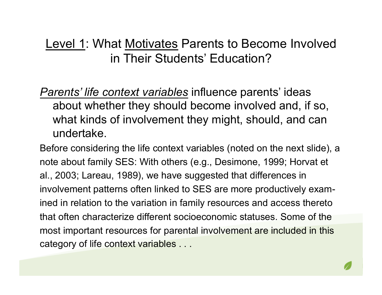*Parents' life context variables* influence parents' ideas about whether they should become involved and, if so, what kinds of involvement they might, should, and can undertake.

Before considering the life context variables (noted on the next slide), a note about family SES: With others (e.g., Desimone, 1999; Horvat et al., 2003; Lareau, 1989), we have suggested that differences in involvement patterns often linked to SES are more productively examined in relation to the variation in family resources and access thereto that often characterize different socioeconomic statuses. Some of the most important resources for parental involvement are included in this category of life context variables . . .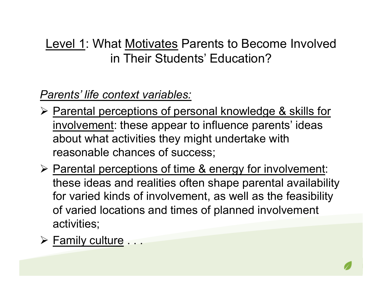*Parents' life context variables:*

- **► Parental perceptions of personal knowledge & skills for** involvement: these appear to influence parents' ideas about what activities they might undertake with reasonable chances of success;
- $\triangleright$  Parental perceptions of time & energy for involvement: these ideas and realities often shape parental availability for varied kinds of involvement, as well as the feasibility of varied locations and times of planned involvement activities;
- $\triangleright$  Family culture ...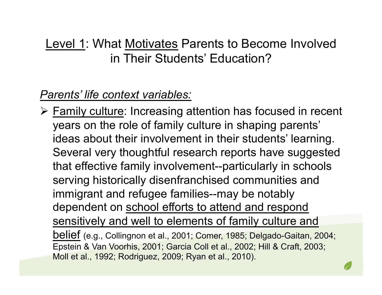## *Parents' life context variables:*

 Family culture: Increasing attention has focused in recent years on the role of family culture in shaping parents' ideas about their involvement in their students' learning. Several very thoughtful research reports have suggested that effective family involvement--particularly in schools serving historically disenfranchised communities and immigrant and refugee families--may be notably dependent on school efforts to attend and respond sensitively and well to elements of family culture and belief (e.g., Collingnon et al., 2001; Comer, 1985; Delgado-Gaitan, 2004; Epstein & Van Voorhis, 2001; Garcia Coll et al., 2002; Hill & Craft, 2003; Moll et al., 1992; Rodriguez, 2009; Ryan et al., 2010).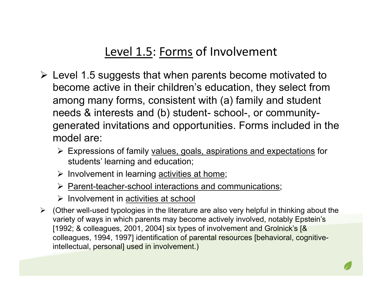# Level 1.5: Forms of Involvement

- $\triangleright$  Level 1.5 suggests that when parents become motivated to become active in their children's education, they select from among many forms, consistent with (a) family and student needs & interests and (b) student- school-, or communitygenerated invitations and opportunities. Forms included in the model are:
	- Expressions of family values, goals, aspirations and expectations for students' learning and education;
	- $\triangleright$  Involvement in learning activities at home;
	- Parent-teacher-school interactions and communications;
	- $\triangleright$  Involvement in activities at school
- $\triangleright$  (Other well-used typologies in the literature are also very helpful in thinking about the variety of ways in which parents may become actively involved, notably Epstein's [1992; & colleagues, 2001, 2004] six types of involvement and Grolnick's [& colleagues, 1994, 1997] identification of parental resources [behavioral, cognitiveintellectual, personal] used in involvement.)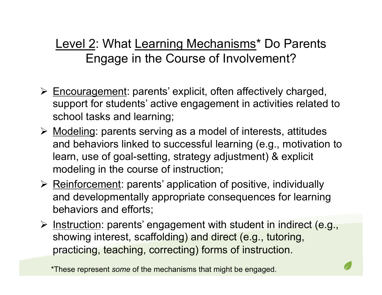# Level 2: What Learning Mechanisms\* Do Parents Engage in the Course of Involvement?

- $\triangleright$  Encouragement: parents' explicit, often affectively charged, support for students' active engagement in activities related to school tasks and learning;
- $\triangleright$  Modeling: parents serving as a model of interests, attitudes and behaviors linked to successful learning (e.g., motivation to learn, use of goal-setting, strategy adjustment) & explicit modeling in the course of instruction;
- $\triangleright$  Reinforcement: parents' application of positive, individually and developmentally appropriate consequences for learning behaviors and efforts;
- **E** Instruction: parents' engagement with student in indirect (e.g., showing interest, scaffolding) and direct (e.g., tutoring, practicing, teaching, correcting) forms of instruction.

\*These represent *some* of the mechanisms that might be engaged.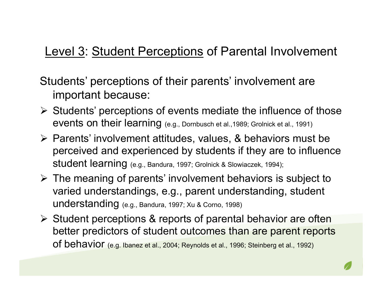# Level 3: Student Perceptions of Parental Involvement

Students' perceptions of their parents' involvement are important because:

- $\triangleright$  Students' perceptions of events mediate the influence of those events on their learning (e.g., Dornbusch et al.,1989; Grolnick et al., 1991)
- $\triangleright$  Parents' involvement attitudes, values, & behaviors must be perceived and experienced by students if they are to influence student learning (e.g., Bandura, 1997; Grolnick & Slowiaczek, 1994);
- $\triangleright$  The meaning of parents' involvement behaviors is subject to varied understandings, e.g., parent understanding, student understanding (e.g., Bandura, 1997; Xu & Corno, 1998)
- $\triangleright$  Student perceptions & reports of parental behavior are often better predictors of student outcomes than are parent reports of behavior (e.g. Ibanez et al., 2004; Reynolds et al., 1996; Steinberg et al., 1992)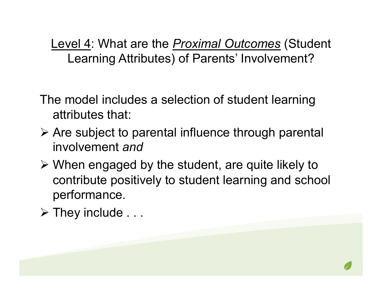Level 4: What are the *Proximal Outcomes* (Student Learning Attributes) of Parents' Involvement?

- The model includes a selection of student learning attributes that:
- Are subject to parental influence through parental involvement *and*
- When engaged by the student, are quite likely to contribute positively to student learning and school performance.
- $\triangleright$  They include . . .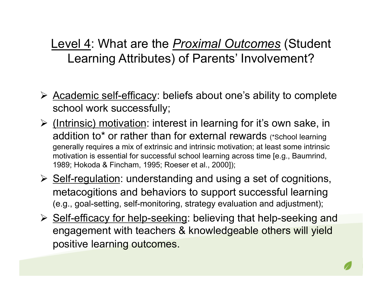Level 4: What are the *Proximal Outcomes* (Student Learning Attributes) of Parents' Involvement?

- $\triangleright$  Academic self-efficacy: beliefs about one's ability to complete school work successfully;
- **≻** (Intrinsic) motivation: interest in learning for it's own sake, in addition to\* or rather than for external rewards (\*School learning generally requires a mix of extrinsic and intrinsic motivation; at least some intrinsic motivation is essential for successful school learning across time [e.g., Baumrind, 1989; Hokoda & Fincham, 1995; Roeser et al., 2000]);
- $\triangleright$  Self-regulation: understanding and using a set of cognitions, metacogitions and behaviors to support successful learning (e.g., goal-setting, self-monitoring, strategy evaluation and adjustment);
- ▶ Self-efficacy for help-seeking: believing that help-seeking and engagement with teachers & knowledgeable others will yield positive learning outcomes.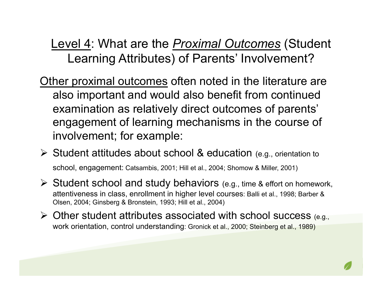Level 4: What are the *Proximal Outcomes* (Student Learning Attributes) of Parents' Involvement?

- Other proximal outcomes often noted in the literature are also important and would also benefit from continued examination as relatively direct outcomes of parents' engagement of learning mechanisms in the course of involvement; for example:
- $\triangleright$  Student attitudes about school & education (e.g., orientation to school, engagement: Catsambis, 2001; Hill et al., 2004; Shomow & Miller, 2001)
- $\triangleright$  Student school and study behaviors (e.g., time & effort on homework, attentiveness in class, enrollment in higher level courses: Balli et al., 1998; Barber & Olsen, 2004; Ginsberg & Bronstein, 1993; Hill et al., 2004)
- $\triangleright$  Other student attributes associated with school success (e.g., work orientation, control understanding: Gronick et al., 2000; Steinberg et al., 1989)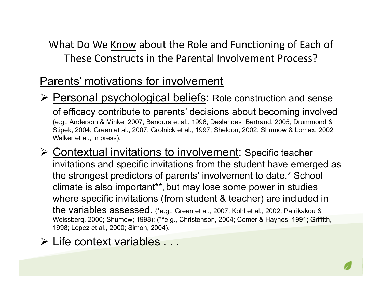#### Parents' motivations for involvement

- Personal psychological beliefs: Role construction and sense of efficacy contribute to parents' decisions about becoming involved (e.g., Anderson & Minke, 2007; Bandura et al., 1996; Deslandes Bertrand, 2005; Drummond & Stipek, 2004; Green et al., 2007; Grolnick et al., 1997; Sheldon, 2002; Shumow & Lomax, 2002 Walker et al., in press).
- **≻ Contextual invitations to involvement: Specific teacher** invitations and specific invitations from the student have emerged as the strongest predictors of parents' involvement to date.\* School climate is also important\*\*, but may lose some power in studies where specific invitations (from student & teacher) are included in the variables assessed. (\*e.g., Green et al., 2007; Kohl et al., 2002; Patrikakou & Weissberg, 2000; Shumow; 1998); (\*\*e.g., Christenson, 2004; Comer & Haynes, 1991; Griffith, 1998; Lopez et al., 2000; Simon, 2004).
- Life context variables . . .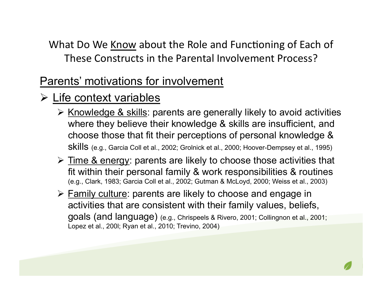## Parents' motivations for involvement

# $\triangleright$  Life context variables

- $\triangleright$  Knowledge & skills: parents are generally likely to avoid activities where they believe their knowledge & skills are insufficient, and choose those that fit their perceptions of personal knowledge & skills (e.g., Garcia Coll et al., 2002; Grolnick et al., 2000; Hoover-Dempsey et al., 1995)
- $\triangleright$  Time & energy: parents are likely to choose those activities that fit within their personal family & work responsibilities & routines (e.g., Clark, 1983; Garcia Coll et al., 2002; Gutman & McLoyd, 2000; Weiss et al., 2003)
- $\triangleright$  Family culture: parents are likely to choose and engage in activities that are consistent with their family values, beliefs, goals (and language) (e.g., Chrispeels & Rivero, 2001; Collingnon et al., 2001; Lopez et al., 200l; Ryan et al., 2010; Trevino, 2004)

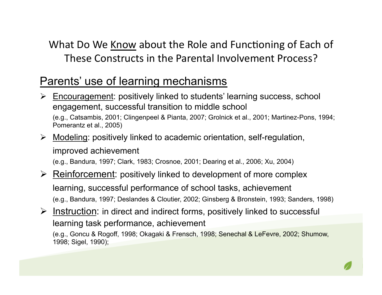#### Parents' use of learning mechanisms

- Encouragement: positively linked to students' learning success, school engagement, successful transition to middle school (e.g., Catsambis, 2001; Clingenpeel & Pianta, 2007; Grolnick et al., 2001; Martinez-Pons, 1994; Pomerantz et al., 2005)
- $\triangleright$  Modeling: positively linked to academic orientation, self-regulation, improved achievement<br>(e.g., Bandura, 1997; Clark, 1983; Crosnoe, 2001; Dearing et al., 2006; Xu, 2004)

- $\triangleright$  Reinforcement: positively linked to development of more complex learning, successful performance of school tasks, achievement (e.g., Bandura, 1997; Deslandes & Cloutier, 2002; Ginsberg & Bronstein, 1993; Sanders, 1998)
- $\triangleright$  Instruction: in direct and indirect forms, positively linked to successful learning task performance, achievement (e.g., Goncu & Rogoff, 1998; Okagaki & Frensch, 1998; Senechal & LeFevre, 2002; Shumow,

1998; Sigel, 1990);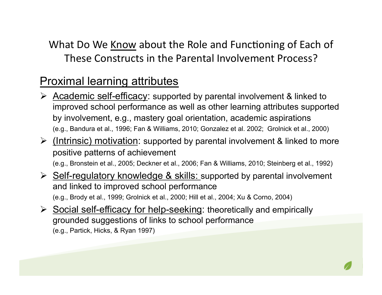## Proximal learning attributes

- $\triangleright$  Academic self-efficacy: supported by parental involvement & linked to improved school performance as well as other learning attributes supported by involvement, e.g., mastery goal orientation, academic aspirations (e.g., Bandura et al., 1996; Fan & Williams, 2010; Gonzalez et al. 2002; Grolnick et al., 2000)
- $\triangleright$  (Intrinsic) motivation: supported by parental involvement & linked to more positive patterns of achievement

(e.g., Bronstein et al., 2005; Deckner et al., 2006; Fan & Williams, 2010; Steinberg et al., 1992)

- $\triangleright$  Self-regulatory knowledge & skills: supported by parental involvement and linked to improved school performance (e.g., Brody et al., 1999; Grolnick et al., 2000; Hill et al., 2004; Xu & Corno, 2004)
- $\triangleright$  Social self-efficacy for help-seeking: theoretically and empirically grounded suggestions of links to school performance (e.g., Partick, Hicks, & Ryan 1997)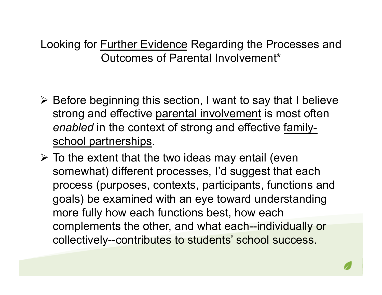- $\triangleright$  Before beginning this section, I want to say that I believe strong and effective parental involvement is most often *enabled* in the context of strong and effective familyschool partnerships.
- $\triangleright$  To the extent that the two ideas may entail (even somewhat) different processes, I'd suggest that each process (purposes, contexts, participants, functions and goals) be examined with an eye toward understanding more fully how each functions best, how each complements the other, and what each--individually or collectively--contributes to students' school success.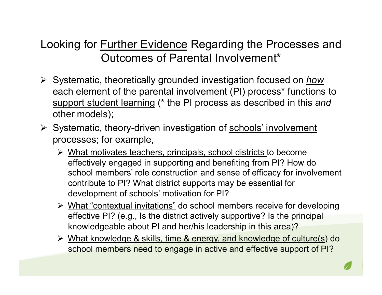- Systematic, theoretically grounded investigation focused on *how* each element of the parental involvement (PI) process<sup>\*</sup> functions to support student learning (\* the PI process as described in this *and* other models);
- $\triangleright$  Systematic, theory-driven investigation of schools' involvement processes; for example,
	- $\triangleright$  What motivates teachers, principals, school districts to become effectively engaged in supporting and benefiting from PI? How do school members' role construction and sense of efficacy for involvement contribute to PI? What district supports may be essential for development of schools' motivation for PI?
	- What "contextual invitations" do school members receive for developing effective PI? (e.g., Is the district actively supportive? Is the principal knowledgeable about PI and her/his leadership in this area)?
	- What knowledge & skills, time & energy, and knowledge of culture(s) do school members need to engage in active and effective support of PI?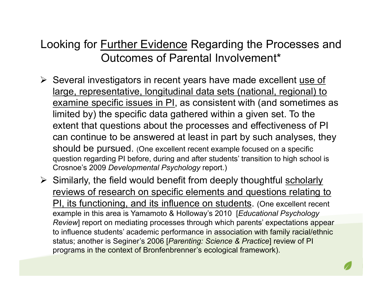- $\triangleright$  Several investigators in recent years have made excellent use of large, representative, longitudinal data sets (national, regional) to examine specific issues in PI, as consistent with (and sometimes as limited by) the specific data gathered within a given set. To the extent that questions about the processes and effectiveness of PI can continue to be answered at least in part by such analyses, they should be pursued. (One excellent recent example focused on a specific question regarding PI before, during and after students' transition to high school is Crosnoe's 2009 *Developmental Psychology* report.)
- $\triangleright$  Similarly, the field would benefit from deeply thoughtful scholarly reviews of research on specific elements and questions relating to PI, its functioning, and its influence on students. (One excellent recent example in this area is Yamamoto & Holloway's 2010 [*Educational Psychology Review*] report on mediating processes through which parents' expectations appear to influence students' academic performance in association with family racial/ethnic status; another is Seginer's 2006 [*Parenting: Science & Practice*] review of PI programs in the context of Bronfenbrenner's ecological framework).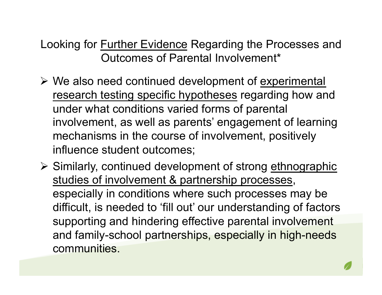- $\triangleright$  We also need continued development of experimental research testing specific hypotheses regarding how and under what conditions varied forms of parental involvement, as well as parents' engagement of learning mechanisms in the course of involvement, positively influence student outcomes;
- $\triangleright$  Similarly, continued development of strong ethnographic studies of involvement & partnership processes, especially in conditions where such processes may be difficult, is needed to 'fill out' our understanding of factors supporting and hindering effective parental involvement and family-school partnerships, especially in high-needs communities.